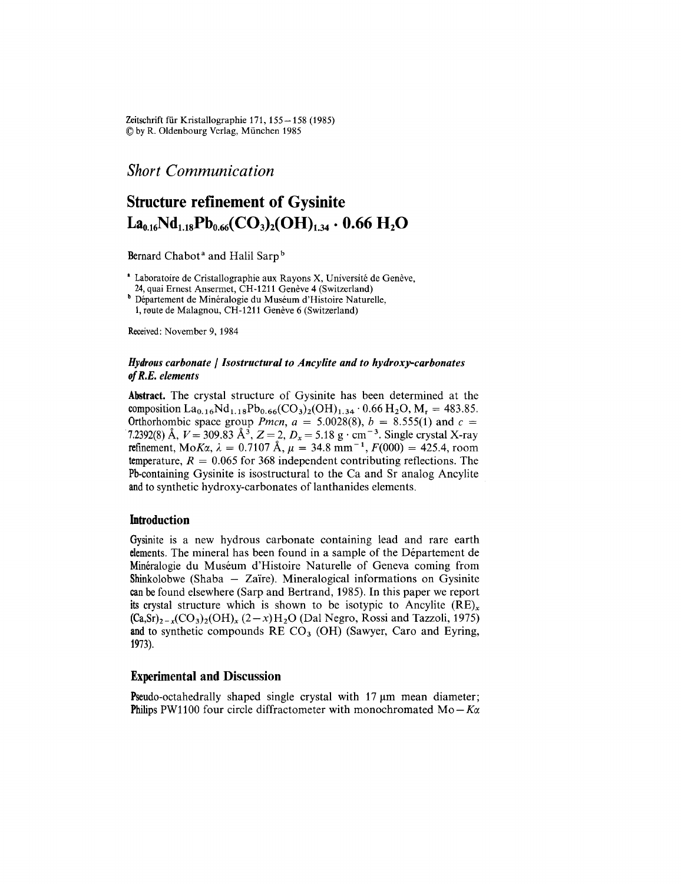Zeitschrift für Kristallographie 171,  $155-158$  (1985) ~ by R. Oldenbourg Verlag, Miinchen 1985

*Short Communication*

# Structure refinement of Gysinite  $La<sub>0.16</sub>Nd<sub>1.18</sub>Pb<sub>0.66</sub>(CO<sub>3</sub>)<sub>2</sub>(OH)<sub>1.34</sub> · 0.66 H<sub>2</sub>O$

Bernard Chabot<sup>a</sup> and Halil Sarp<sup>b</sup>

·Laboratoire de Cristallographie aux Rayons X, Universite de Geneve, 24, quai Ernest Ansermet, CH-1211 Genève 4 (Switzerland)

<sup>b</sup> Département de Minéralogie du Muséum d'Histoire Naturelle, 1, route de Malagnou, CH-1211 Genève 6 (Switzerland)

Received: November 9,1984

# Hydrous *carbonate* / */sostructural to Ancylite and to hydroxy-carbonates ofR.E. elements*

Abstract. The crystal structure of Gysinite has been determined at the composition  $La_{0.16}Nd_{1.18}Pb_{0.66}(CO_3)_2(OH)_{1.34} \cdot 0.66 H_2O$ ,  $M_r = 483.85$ . Orthorhombic space group *Pmcn*,  $a = 5.0028(8)$ ,  $b = 8.555(1)$  and  $c =$ 7.2392(8)A, *V* = 309.83 A3, Z = 2, *Dx* = 5.18 g' cm-3. Single crystal X-ray refinement,  $M \circ K \alpha$ ,  $\lambda = 0.7107 \text{ Å}$ ,  $\mu = 34.8 \text{ mm}^{-1}$ ,  $F(000) = 425.4$ , room temperature,  $R = 0.065$  for 368 independent contributing reflections. The Pb-containing Gysinite is isostructural to the Ca and Sr analog Ancylite and to synthetic hydroxy-carbonates of lanthanides elements.

## Introduction

Gysinite is a new hydrous carbonate containing lead and rare earth elements. The mineral has been found in a sample of the Département de Minéralogie du Muséum d'Histoire Naturelle of Geneva coming from Shinkolobwe (Shaba  $-$  Zaïre). Mineralogical informations on Gysinite canbe found elsewhere (Sarp and Bertrand, 1985). In this paper we report its crystal structure which is shown to be isotypic to Ancylite  $(RE)_x$  $(Ca, Sr)_{2-x}(CO_3)_2(OH)_x (2-x)H_2O$  (Dal Negro, Rossi and Tazzoli, 1975) and to synthetic compounds  $RECO<sub>3</sub>$  (OH) (Sawyer, Caro and Eyring, 1973).

# Experimental and Discussion

Pseudo-octahedrally shaped single crystal with  $17 \mu m$  mean diameter; **Philips** PW1100 four circle diffractometer with monochromated  $Mo-K\alpha$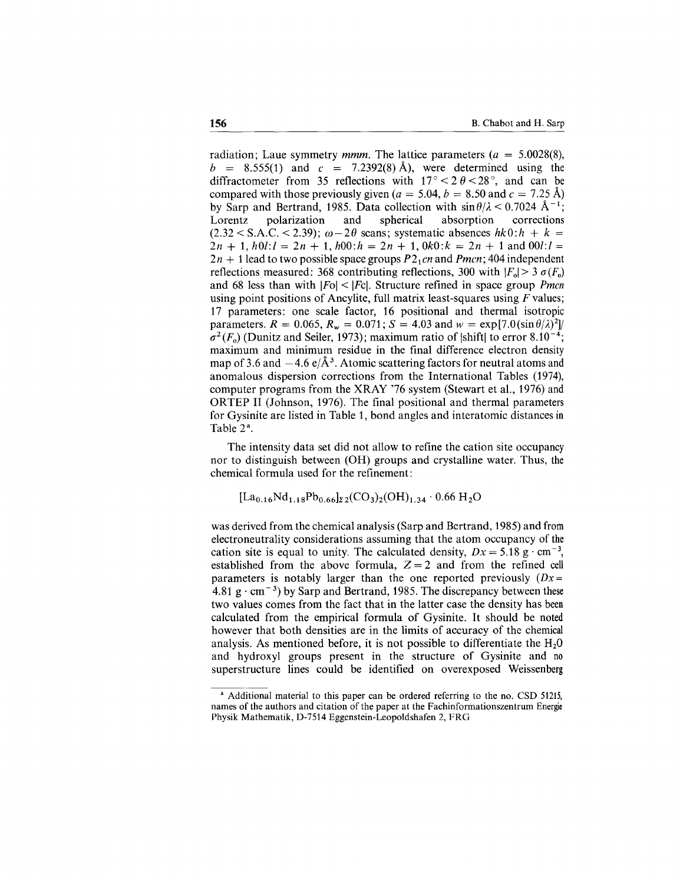radiation; Laue symmetry *mmm.* The lattice parameters *(a* = 5.0028(8),  $b = 8.555(1)$  and  $c = 7.2392(8)$  A), were determined using the diffractometer from 35 reflections with  $17^{\circ} < 2 \theta < 28^{\circ}$ , and can be compared with those previously given  $(a = 5.04, b = 8.50$  and  $c = 7.25$  Å) by Sarp and Bertrand, 1985. Data collection with  $\sin \theta/\lambda < 0.7024$  Å<sup>-1</sup>; Lorentz polarization and spherical absorption corrections  $(2.32 \leq S.A.C. \leq 2.39); \omega - 2\theta$  scans; systematic absences  $hk0:h + k =$  $2n + 1$ ,  $h0l$ : $l = 2n + 1$ ,  $h00$ : $h = 2n + 1$ ,  $0k0$ : $k = 2n + 1$  and  $00l$ : $l =$  $2n + 1$  lead to two possible space groups  $P2<sub>1</sub>cn$  and *Pmcn*; 404 independent reflections measured: 368 contributing reflections, 300 with  $|F_0| > 3 \sigma(F_0)$ and 68 less than with IFol < IFcl. Structure refined in space group *Pmcn* using point positions of Ancylite, full matrix least-squares using *F* values; 17 parameters: one scale factor, 16 positional and thermal isotropic parameters.  $R = 0.065$ ,  $R_w = 0.071$ ;  $S = 4.03$  and  $w = \exp[7.0(\sin \theta/\lambda)^2]$  $\sigma^2(F_o)$  (Dunitz and Seiler, 1973); maximum ratio of  $|\text{shift}|$  to error 8.10<sup>-4</sup>; maximum and minimum residue in the final difference electron density map of 3.6 and  $-4.6 \text{ e}/\text{\AA}^3$ . Atomic scattering factors for neutral atoms and anomalous dispersion corrections from the International Tables (1974), computer programs from the XRAY '76 system (Stewart et aI., 1976) and ORTEP II (Johnson, 1976). The final positional and thermal parameters for Gysinite are listed in Table 1, bond angles and interatomic distances in Table 2<sup>a</sup>.

The intensity data set did not allow to refine the cation site occupancy nor to distinguish between (OR) groups and crystalline water. Thus, the chemical formula used for the refinement:

$$
[La_{0.16}Nd_{1.18}Pb_{0.66}]_{22}(CO_3)_2(OH)_{1.34}\cdot 0.66 H_2O
$$

was derived from the chemical analysis (Sarp and Bertrand, 1985) and from electroneutrality considerations assuming that the atom occupancy of the cation site is equal to unity. The calculated density,  $Dx = 5.18 \text{ g} \cdot \text{cm}^{-3}$ , established from the above formula,  $Z = 2$  and from the refined cell parameters is notably larger than the one reported previously  $(Dx =$ 4.81 g  $\cdot$  cm<sup>-3</sup>) by Sarp and Bertrand, 1985. The discrepancy between these two values comes from the fact that in the latter case the density has been calculated from the empirical formula of Gysinite. It should be noted however that both densities are in the limits of accuracy of the chemical analysis. As mentioned before, it is not possible to differentiate the  $H<sub>2</sub>0$ and hydroxyl groups present in the structure of Gysinite and no superstructure lines could be identified on overexposed Weissenberg

<sup>&</sup>lt;sup>a</sup> Additional material to this paper can be ordered referring to the no. CSD 51215, names of the authors and citation of the paper at the Fachinformationszentrum Energie Physik Mathematik, D-7514 Eggenstein-Leopoldshafen 2, FRG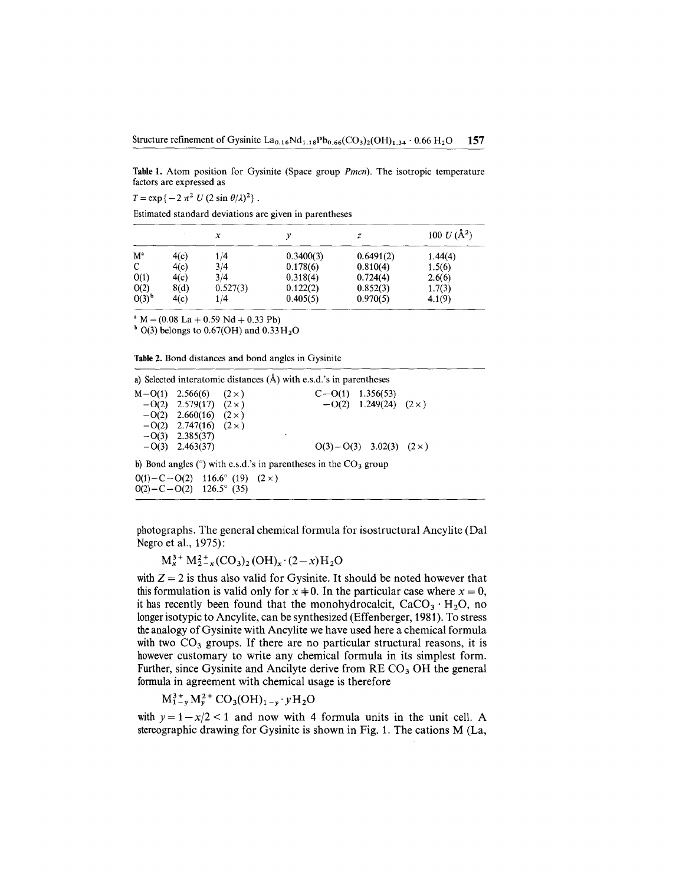Table1. Atom position for Gysinite (Space group *Pmcn).* The isotropic temperature factors are expressed as

 $T = \exp\{-2 \pi^2 U (2 \sin \theta/\lambda)^2\}$ .

Estimated standard deviations are given in parentheses

|          |      | x        |           | z         | 100 $U(\AA^2)$ |
|----------|------|----------|-----------|-----------|----------------|
| $M^a$    | 4(c) | 1/4      | 0.3400(3) | 0.6491(2) | 1.44(4)        |
| C        | 4(c) | 3/4      | 0.178(6)  | 0.810(4)  | 1.5(6)         |
| O(1)     | 4(c) | 3/4      | 0.318(4)  | 0.724(4)  | 2.6(6)         |
| O(2)     | 8(d) | 0.527(3) | 0.122(2)  | 0.852(3)  | 1.7(3)         |
| $O(3)^b$ | 4(c) | 1/4      | 0.405(5)  | 0.970(5)  | 4.1(9)         |

 $M = (0.08$  La + 0.59 Nd + 0.33 Pb

 $h = (0.00 \text{ Pa} + 0.33 \text{ Pa} + 0.33 \text{ H})$ <br>b O(3) belongs to 0.67(OH) and 0.33 H<sub>2</sub>(

Table 2. Bond distances and bond angles in Gysinite

a) Selected interatomic distances  $(A)$  with e.s.d.'s in parentheses  $M-O(1)$  2.566(6)  $(2 \times)$  C-O(1) 1.356(53)  $-0(2)$  2.579(17)  $(2 \times)$   $-0(2)$  1.249(24)  $(2 \times)$  $-O(2)$  2.660(16) (2 x)  $-0(2)$  2.747(16)  $(2 \times)$  $-$ O(3) 2.385(37)<br> $-$ O(3) 2.463(37)  $O(3)-O(3)$  3.02(3) (2 x) b) Bond angles ( $\degree$ ) with e.s.d.'s in parentheses in the CO<sub>3</sub> group  $O(1)-C-O(2)$  116.6° (19) (2×)  $O(2)-C-O(2)$  126.5° (35)

photographs. The general chemical formula for isostructural Ancylite (Dal Negro et aI., 1975):

 $M_x^3 + M_{2-x}^2 (CO_3)_2 (OH)_x (2-x)H_2O$ 

with  $Z = 2$  is thus also valid for Gysinite. It should be noted however that this formulation is valid only for  $x \neq 0$ . In the particular case where  $x = 0$ , it has generally here found that the magnety description  $G_0 = U_0$ it has recently been found that the monohydrocalcit,  $CaCO<sub>3</sub> \cdot H<sub>2</sub>O$ , no longer isotypic to Ancylite, can be synthesized (Effenberger, 1981). To stress the analogy of Gysinite with Ancylite we have used here a chemical formula with two  $CO<sub>3</sub>$  groups. If there are no particular structural reasons, it is however customary to write any chemical formula in its simplest form. Further, since Gysinite and Ancilyte derive from  $RECO<sub>3</sub>OH$  the general formula in agreement with chemical usage is therefore

 $M_{1-v}^{3+} M_{\nu}^{2+} CO_3(OH)_{1-\nu} \cdot yH_2O$ 

with  $y = 1 - x/2 < 1$  and now with 4 formula units in the unit cell. A stereographic drawing for Gysinite is shown in Fig. 1. The cations M (La,